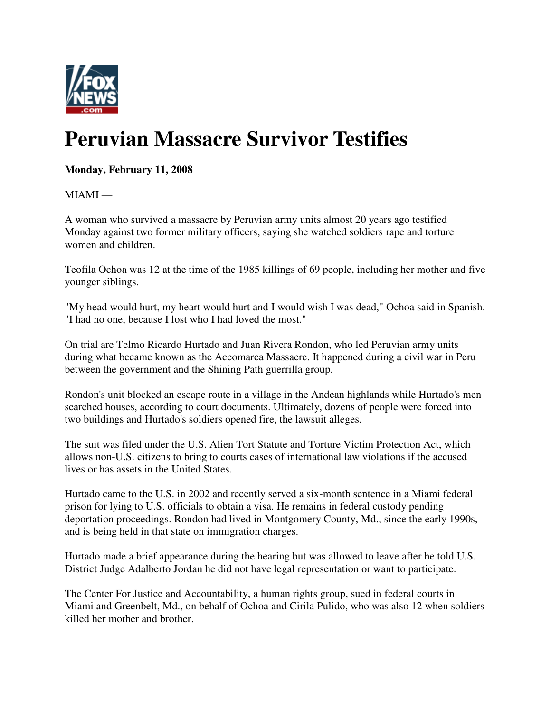

## **Peruvian Massacre Survivor Testifies**

**Monday, February 11, 2008**

 $MIAMI -$ 

A woman who survived a massacre by Peruvian army units almost 20 years ago testified Monday against two former military officers, saying she watched soldiers rape and torture women and children.

Teofila Ochoa was 12 at the time of the 1985 killings of 69 people, including her mother and five younger siblings.

"My head would hurt, my heart would hurt and I would wish I was dead," Ochoa said in Spanish. "I had no one, because I lost who I had loved the most."

On trial are Telmo Ricardo Hurtado and Juan Rivera Rondon, who led Peruvian army units during what became known as the Accomarca Massacre. It happened during a civil war in Peru between the government and the Shining Path guerrilla group.

Rondon's unit blocked an escape route in a village in the Andean highlands while Hurtado's men searched houses, according to court documents. Ultimately, dozens of people were forced into two buildings and Hurtado's soldiers opened fire, the lawsuit alleges.

The suit was filed under the U.S. Alien Tort Statute and Torture Victim Protection Act, which allows non-U.S. citizens to bring to courts cases of international law violations if the accused lives or has assets in the United States.

Hurtado came to the U.S. in 2002 and recently served a six-month sentence in a Miami federal prison for lying to U.S. officials to obtain a visa. He remains in federal custody pending deportation proceedings. Rondon had lived in Montgomery County, Md., since the early 1990s, and is being held in that state on immigration charges.

Hurtado made a brief appearance during the hearing but was allowed to leave after he told U.S. District Judge Adalberto Jordan he did not have legal representation or want to participate.

The Center For Justice and Accountability, a human rights group, sued in federal courts in Miami and Greenbelt, Md., on behalf of Ochoa and Cirila Pulido, who was also 12 when soldiers killed her mother and brother.